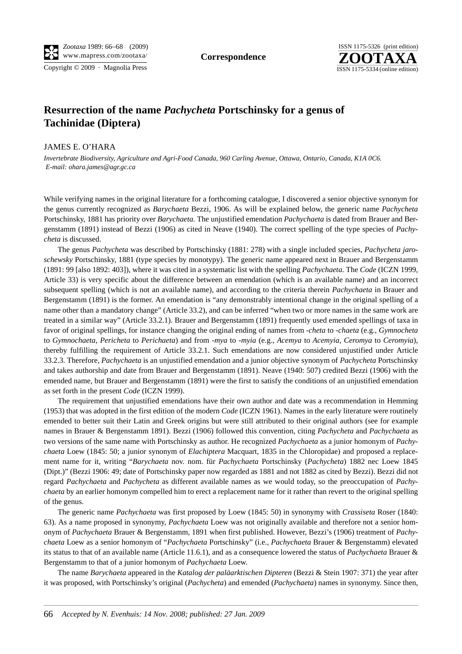Copyright © 2009 · Magnolia Press

**Correspondence**



## **Resurrection of the name** *Pachycheta* **Portschinsky for a genus of Tachinidae (Diptera)**

## JAMES E. O'HARA

*Invertebrate Biodiversity, Agriculture and Agri-Food Canada, 960 Carling Avenue, Ottawa, Ontario, Canada, K1A 0C6. E-mail: ohara.james@agr.gc.ca*

While verifying names in the original literature for a forthcoming catalogue, I discovered a senior objective synonym for the genus currently recognized as *Barychaeta* Bezzi, 1906. As will be explained below, the generic name *Pachycheta* Portschinsky, 1881 has priority over *Barychaeta*. The unjustified emendation *Pachychaeta* is dated from Brauer and Bergenstamm (1891) instead of Bezzi (1906) as cited in Neave (1940). The correct spelling of the type species of *Pachycheta* is discussed.

The genus *Pachycheta* was described by Portschinsky (1881: 278) with a single included species, *Pachycheta jaroschewsky* Portschinsky, 1881 (type species by monotypy). The generic name appeared next in Brauer and Bergenstamm (1891: 99 [also 1892: 403]), where it was cited in a systematic list with the spelling *Pachychaeta*. The *Code* (ICZN 1999, Article 33) is very specific about the difference between an emendation (which is an available name) and an incorrect subsequent spelling (which is not an available name), and according to the criteria therein *Pachychaeta* in Brauer and Bergenstamm (1891) is the former. An emendation is "any demonstrably intentional change in the original spelling of a name other than a mandatory change" (Article 33.2), and can be inferred "when two or more names in the same work are treated in a similar way" (Article 33.2.1). Brauer and Bergenstamm (1891) frequently used emended spellings of taxa in favor of original spellings, for instance changing the original ending of names from -*cheta* to -*chaeta* (e.g., *Gymnocheta* to *Gymnochaeta*, *Pericheta* to *Perichaeta*) and from -*mya* to -*myia* (e.g., *Acemya* to *Acemyia*, *Ceromya* to *Ceromyia*), thereby fulfilling the requirement of Article 33.2.1. Such emendations are now considered unjustified under Article 33.2.3. Therefore, *Pachychaeta* is an unjustified emendation and a junior objective synonym of *Pachycheta* Portschinsky and takes authorship and date from Brauer and Bergenstamm (1891). Neave (1940: 507) credited Bezzi (1906) with the emended name, but Brauer and Bergenstamm (1891) were the first to satisfy the conditions of an unjustified emendation as set forth in the present *Code* (ICZN 1999).

The requirement that unjustified emendations have their own author and date was a recommendation in Hemming (1953) that was adopted in the first edition of the modern *Code* (ICZN 1961). Names in the early literature were routinely emended to better suit their Latin and Greek origins but were still attributed to their original authors (see for example names in Brauer & Bergenstamm 1891). Bezzi (1906) followed this convention, citing *Pachycheta* and *Pachychaeta* as two versions of the same name with Portschinsky as author. He recognized *Pachychaeta* as a junior homonym of *Pachychaeta* Loew (1845: 50; a junior synonym of *Elachiptera* Macquart, 1835 in the Chloropidae) and proposed a replacement name for it, writing "*Barychaeta* nov. nom. für *Pachychaeta* Portschinsky (*Pachycheta*) 1882 nec Loew 1845 (Dipt.)" (Bezzi 1906: 49; date of Portschinsky paper now regarded as 1881 and not 1882 as cited by Bezzi). Bezzi did not regard *Pachychaeta* and *Pachycheta* as different available names as we would today, so the preoccupation of *Pachychaeta* by an earlier homonym compelled him to erect a replacement name for it rather than revert to the original spelling of the genus.

The generic name *Pachychaeta* was first proposed by Loew (1845: 50) in synonymy with *Crassiseta* Roser (1840: 63). As a name proposed in synonymy, *Pachychaeta* Loew was not originally available and therefore not a senior homonym of *Pachychaeta* Brauer & Bergenstamm, 1891 when first published. However, Bezzi's (1906) treatment of *Pachychaeta* Loew as a senior homonym of "*Pachychaeta* Portschinsky" (i.e., *Pachychaeta* Brauer & Bergenstamm) elevated its status to that of an available name (Article 11.6.1), and as a consequence lowered the status of *Pachychaeta* Brauer & Bergenstamm to that of a junior homonym of *Pachychaeta* Loew.

The name *Barychaeta* appeared in the *Katalog der paläarktischen Dipteren* (Bezzi & Stein 1907: 371) the year after it was proposed, with Portschinsky's original (*Pachycheta*) and emended (*Pachychaeta*) names in synonymy. Since then,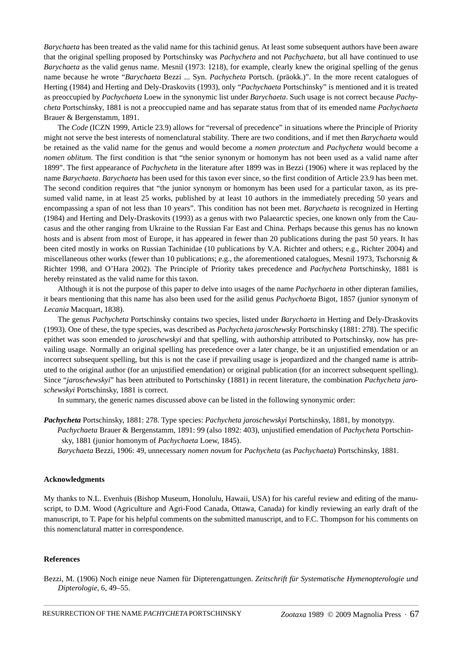*Barychaeta* has been treated as the valid name for this tachinid genus. At least some subsequent authors have been aware that the original spelling proposed by Portschinsky was *Pachycheta* and not *Pachychaeta*, but all have continued to use *Barychaeta* as the valid genus name. Mesnil (1973: 1218), for example, clearly knew the original spelling of the genus name because he wrote "*Barychaeta* Bezzi ... Syn. *Pachycheta* Portsch. (präokk.)". In the more recent catalogues of Herting (1984) and Herting and Dely-Draskovits (1993), only "*Pachychaeta* Portschinsky" is mentioned and it is treated as preoccupied by *Pachychaeta* Loew in the synonymic list under *Barychaeta*. Such usage is not correct because *Pachycheta* Portschinsky, 1881 is not a preoccupied name and has separate status from that of its emended name *Pachychaeta* Brauer & Bergenstamm, 1891.

The *Code* (ICZN 1999, Article 23.9) allows for "reversal of precedence" in situations where the Principle of Priority might not serve the best interests of nomenclatural stability. There are two conditions, and if met then *Barychaeta* would be retained as the valid name for the genus and would become a *nomen protectum* and *Pachycheta* would become a *nomen oblitum*. The first condition is that "the senior synonym or homonym has not been used as a valid name after 1899". The first appearance of *Pachycheta* in the literature after 1899 was in Bezzi (1906) where it was replaced by the name *Barychaeta*. *Barychaeta* has been used for this taxon ever since, so the first condition of Article 23.9 has been met. The second condition requires that "the junior synonym or homonym has been used for a particular taxon, as its presumed valid name, in at least 25 works, published by at least 10 authors in the immediately preceding 50 years and encompassing a span of not less than 10 years". This condition has not been met. *Barychaeta* is recognized in Herting (1984) and Herting and Dely-Draskovits (1993) as a genus with two Palaearctic species, one known only from the Caucasus and the other ranging from Ukraine to the Russian Far East and China. Perhaps because this genus has no known hosts and is absent from most of Europe, it has appeared in fewer than 20 publications during the past 50 years. It has been cited mostly in works on Russian Tachinidae (10 publications by V.A. Richter and others; e.g., Richter 2004) and miscellaneous other works (fewer than 10 publications; e.g., the aforementioned catalogues, Mesnil 1973, Tschorsnig & Richter 1998, and O'Hara 2002). The Principle of Priority takes precedence and *Pachycheta* Portschinsky, 1881 is hereby reinstated as the valid name for this taxon.

Although it is not the purpose of this paper to delve into usages of the name *Pachychaeta* in other dipteran families, it bears mentioning that this name has also been used for the asilid genus *Pachychoeta* Bigot, 1857 (junior synonym of *Lecania* Macquart, 1838).

The genus *Pachycheta* Portschinsky contains two species, listed under *Barychaeta* in Herting and Dely-Draskovits (1993). One of these, the type species, was described as *Pachycheta jaroschewsky* Portschinsky (1881: 278). The specific epithet was soon emended to *jaroschewskyi* and that spelling, with authorship attributed to Portschinsky, now has prevailing usage. Normally an original spelling has precedence over a later change, be it an unjustified emendation or an incorrect subsequent spelling, but this is not the case if prevailing usage is jeopardized and the changed name is attributed to the original author (for an unjustified emendation) or original publication (for an incorrect subsequent spelling). Since "*jaroschewskyi*" has been attributed to Portschinsky (1881) in recent literature, the combination *Pachycheta jaroschewskyi* Portschinsky, 1881 is correct.

In summary, the generic names discussed above can be listed in the following synonymic order:

*Pachycheta* Portschinsky, 1881: 278. Type species: *Pachycheta jaroschewskyi* Portschinsky, 1881, by monotypy. *Pachychaeta* Brauer & Bergenstamm, 1891: 99 (also 1892: 403), unjustified emendation of *Pachycheta* Portschin sky, 1881 (junior homonym of *Pachychaeta* Loew, 1845).

*Barychaeta* Bezzi, 1906: 49, unnecessary *nomen novum* for *Pachycheta* (as *Pachychaeta*) Portschinsky, 1881.

## **Acknowledgments**

My thanks to N.L. Evenhuis (Bishop Museum, Honolulu, Hawaii, USA) for his careful review and editing of the manuscript, to D.M. Wood (Agriculture and Agri-Food Canada, Ottawa, Canada) for kindly reviewing an early draft of the manuscript, to T. Pape for his helpful comments on the submitted manuscript, and to F.C. Thompson for his comments on this nomenclatural matter in correspondence.

## **References**

Bezzi, M. (1906) Noch einige neue Namen für Dipterengattungen. *Zeitschrift für Systematische Hymenopterologie und Dipterologie*, 6, 49–55.